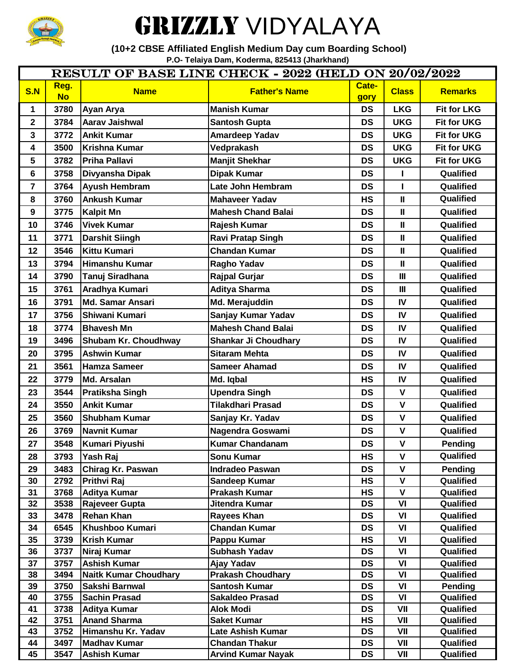

## GRIZZLY VIDYALAYA

 **(10+2 CBSE Affiliated English Medium Day cum Boarding School) P.O- Telaiya Dam, Koderma, 825413 (Jharkhand)**

| <b>RESULT OF BASE LINE CHECK - 2022 (HELD ON 20/02/2022</b> |                   |                                              |                                                    |                        |                             |                        |  |  |
|-------------------------------------------------------------|-------------------|----------------------------------------------|----------------------------------------------------|------------------------|-----------------------------|------------------------|--|--|
| S.N                                                         | Reg.<br><b>No</b> | <b>Name</b>                                  | <b>Father's Name</b>                               | Cate-<br>gory          | <b>Class</b>                | <b>Remarks</b>         |  |  |
| $\mathbf 1$                                                 | 3780              | Ayan Arya                                    | <b>Manish Kumar</b>                                | <b>DS</b>              | <b>LKG</b>                  | <b>Fit for LKG</b>     |  |  |
| $\overline{2}$                                              | 3784              | Aarav Jaishwal                               | <b>Santosh Gupta</b>                               | <b>DS</b>              | <b>UKG</b>                  | <b>Fit for UKG</b>     |  |  |
| $\mathbf{3}$                                                | 3772              | <b>Ankit Kumar</b>                           | <b>Amardeep Yadav</b>                              | <b>DS</b>              | <b>UKG</b>                  | <b>Fit for UKG</b>     |  |  |
| $\overline{\mathbf{4}}$                                     | 3500              | Krishna Kumar                                | Vedprakash                                         | <b>DS</b>              | <b>UKG</b>                  | <b>Fit for UKG</b>     |  |  |
| 5                                                           | 3782              | <b>Priha Pallavi</b>                         | <b>Manjit Shekhar</b>                              | <b>DS</b>              | <b>UKG</b>                  | <b>Fit for UKG</b>     |  |  |
| $6\phantom{a}$                                              | 3758              | Divyansha Dipak                              | <b>Dipak Kumar</b>                                 | <b>DS</b>              |                             | Qualified              |  |  |
| $\overline{\mathbf{7}}$                                     | 3764              | <b>Ayush Hembram</b>                         | Late John Hembram                                  | <b>DS</b>              | L                           | Qualified              |  |  |
| 8                                                           | 3760              | <b>Ankush Kumar</b>                          | <b>Mahaveer Yadav</b>                              | <b>HS</b>              | $\pmb{\parallel}$           | Qualified              |  |  |
| $\boldsymbol{9}$                                            | 3775              | <b>Kalpit Mn</b>                             | <b>Mahesh Chand Balai</b>                          | <b>DS</b>              | $\mathbf{I}$                | Qualified              |  |  |
| 10                                                          | 3746              | <b>Vivek Kumar</b>                           | Rajesh Kumar                                       | <b>DS</b>              | $\mathbf{I}$                | Qualified              |  |  |
| 11                                                          | 3771              | <b>Darshit Siingh</b>                        | <b>Ravi Pratap Singh</b>                           | <b>DS</b>              | $\mathbf{I}$                | Qualified              |  |  |
| 12                                                          | 3546              | Kittu Kumari                                 | <b>Chandan Kumar</b>                               | <b>DS</b>              | $\mathbf{I}$                | Qualified              |  |  |
| 13                                                          | 3794              | <b>Himanshu Kumar</b>                        | <b>Ragho Yadav</b>                                 | <b>DS</b>              | $\mathbf{I}$                | Qualified              |  |  |
| 14                                                          | 3790              | Tanuj Siradhana                              | <b>Rajpal Gurjar</b>                               | <b>DS</b>              | Ш                           | Qualified              |  |  |
| 15                                                          | 3761              | Aradhya Kumari                               | <b>Aditya Sharma</b>                               | <b>DS</b>              | $\mathbf{III}$              | Qualified              |  |  |
| 16                                                          | 3791              | <b>Md. Samar Ansari</b>                      | Md. Merajuddin                                     | <b>DS</b>              | IV                          | Qualified              |  |  |
| 17                                                          | 3756              | Shiwani Kumari                               | Sanjay Kumar Yadav                                 | <b>DS</b>              | IV                          | Qualified              |  |  |
| 18                                                          | 3774              | <b>Bhavesh Mn</b>                            | <b>Mahesh Chand Balai</b>                          | <b>DS</b>              | IV                          | Qualified              |  |  |
| 19                                                          | 3496              | Shubam Kr. Choudhway                         | <b>Shankar Ji Choudhary</b>                        | <b>DS</b>              | IV                          | Qualified              |  |  |
| 20                                                          | 3795              | <b>Ashwin Kumar</b>                          | <b>Sitaram Mehta</b>                               | <b>DS</b>              | IV                          | Qualified              |  |  |
| 21                                                          | 3561              | <b>Hamza Sameer</b>                          | <b>Sameer Ahamad</b>                               | <b>DS</b>              | IV                          | Qualified              |  |  |
|                                                             | 3779              | Md. Arsalan                                  |                                                    | <b>HS</b>              | $\mathbf W$                 | Qualified              |  |  |
| 22                                                          |                   |                                              | Md. Iqbal                                          |                        | $\mathbf v$                 |                        |  |  |
| 23                                                          | 3544              | <b>Pratiksha Singh</b><br><b>Ankit Kumar</b> | <b>Upendra Singh</b>                               | <b>DS</b>              |                             | Qualified              |  |  |
| 24                                                          | 3550              |                                              | <b>Tilakdhari Prasad</b>                           | <b>DS</b>              | $\mathsf{V}$                | Qualified              |  |  |
| 25                                                          | 3560              | <b>Shubham Kumar</b>                         | Sanjay Kr. Yadav                                   | <b>DS</b>              | $\mathbf{V}$                | Qualified              |  |  |
| 26                                                          | 3769              | Navnit Kumar                                 | Nagendra Goswami                                   | <b>DS</b>              | $\mathbf V$                 | Qualified              |  |  |
| 27                                                          | 3548              | Kumari Piyushi                               | <b>Kumar Chandanam</b>                             | <b>DS</b>              | $\mathbf v$                 | <b>Pending</b>         |  |  |
| 28                                                          | 3793              | Yash Raj                                     | <b>Sonu Kumar</b>                                  | <b>HS</b>              | $\mathbf{V}$                | Qualified              |  |  |
| 29                                                          | 3483              | Chirag Kr. Paswan                            | <b>Indradeo Paswan</b>                             | <b>DS</b>              | V                           | Pending                |  |  |
| 30                                                          | 2792              | Prithvi Raj                                  | <b>Sandeep Kumar</b><br><b>Prakash Kumar</b>       | <b>HS</b>              | $\mathbf v$<br>$\mathsf{V}$ | Qualified              |  |  |
| 31<br>32                                                    | 3768<br>3538      | Aditya Kumar<br>Rajeveer Gupta               | Jitendra Kumar                                     | HS<br><b>DS</b>        | VI                          | Qualified<br>Qualified |  |  |
| 33                                                          | 3478              | <b>Rehan Khan</b>                            | <b>Rayees Khan</b>                                 | <b>DS</b>              | VI                          | Qualified              |  |  |
| 34                                                          | 6545              | Khushboo Kumari                              | <b>Chandan Kumar</b>                               | <b>DS</b>              | VI                          | Qualified              |  |  |
| 35                                                          | 3739              | Krish Kumar                                  | Pappu Kumar                                        | <b>HS</b>              | VI                          | Qualified              |  |  |
| 36                                                          | 3737              | Niraj Kumar                                  | <b>Subhash Yadav</b>                               | <b>DS</b>              | VI                          | Qualified              |  |  |
| 37                                                          | 3757              | <b>Ashish Kumar</b>                          | Ajay Yadav                                         | <b>DS</b>              | VI                          | Qualified              |  |  |
| 38                                                          | 3494              | Naitk Kumar Choudhary                        | <b>Prakash Choudhary</b>                           | <b>DS</b>              | VI                          | Qualified              |  |  |
| 39                                                          | 3750              | Sakshi Barnwal                               | <b>Santosh Kumar</b>                               | <b>DS</b>              | VI                          | <b>Pending</b>         |  |  |
| 40                                                          | 3755              | <b>Sachin Prasad</b>                         | <b>Sakaldeo Prasad</b>                             | <b>DS</b>              | VI                          | Qualified              |  |  |
| 41                                                          | 3738              | Aditya Kumar                                 | <b>Alok Modi</b>                                   | <b>DS</b>              | VII                         | Qualified              |  |  |
| 42                                                          | 3751              | <b>Anand Sharma</b>                          | <b>Saket Kumar</b>                                 | HS                     | VII                         | Qualified              |  |  |
| 43                                                          | 3752              | Himanshu Kr. Yadav                           | <b>Late Ashish Kumar</b>                           | <b>DS</b>              | VII                         | Qualified              |  |  |
| 44<br>45                                                    | 3497<br>3547      | <b>Madhav Kumar</b><br><b>Ashish Kumar</b>   | <b>Chandan Thakur</b><br><b>Arvind Kumar Nayak</b> | <b>DS</b><br><b>DS</b> | VII<br>VII                  | Qualified<br>Qualified |  |  |
|                                                             |                   |                                              |                                                    |                        |                             |                        |  |  |